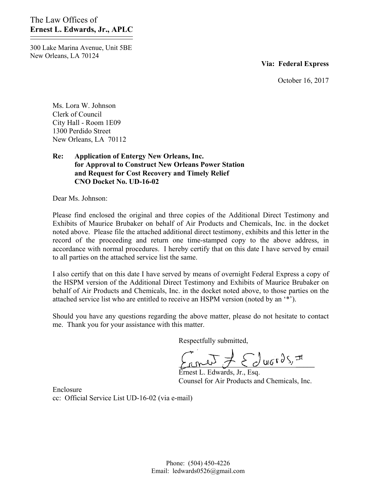**Via: Federal Express**

October 16, 2017

The Law Offices of **Ernest L. Edwards, Jr., APLC** 

300 Lake Marina Avenue, Unit 5BE New Orleans, LA 70124

> Ms. Lora W. Johnson Clerk of Council City Hall - Room 1E09 1300 Perdido Street New Orleans, LA 70112

### **Re: Application of Entergy New Orleans, Inc. for Approval to Construct New Orleans Power Station and Request for Cost Recovery and Timely Relief CNO Docket No. UD-16-02**

Dear Ms. Johnson:

Please find enclosed the original and three copies of the Additional Direct Testimony and Exhibits of Maurice Brubaker on behalf of Air Products and Chemicals, Inc. in the docket noted above. Please file the attached additional direct testimony, exhibits and this letter in the record of the proceeding and return one time-stamped copy to the above address, in accordance with normal procedures. I hereby certify that on this date I have served by email to all parties on the attached service list the same.

I also certify that on this date I have served by means of overnight Federal Express a copy of the HSPM version of the Additional Direct Testimony and Exhibits of Maurice Brubaker on behalf of Air Products and Chemicals, Inc. in the docket noted above, to those parties on the attached service list who are entitled to receive an HSPM version (noted by an '\*').

Should you have any questions regarding the above matter, please do not hesitate to contact me. Thank you for your assistance with this matter.

Respectfully submitted,

 $L_{max}$  of  $\geq$   $\geq$   $\geq$   $\frac{1}{2}$   $\geq$   $\geq$   $\geq$   $\geq$   $\geq$   $\geq$ 

Ernest L. Edwards, Jr., Esq. Counsel for Air Products and Chemicals, Inc.

Enclosure cc: Official Service List UD-16-02 (via e-mail)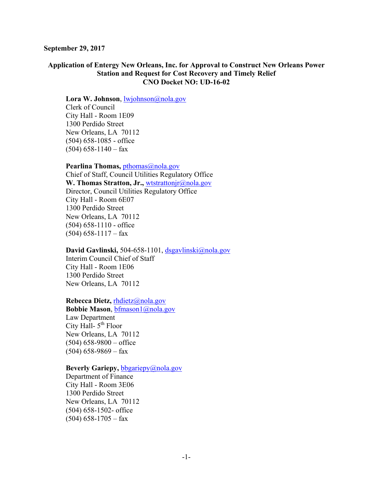### **September 29, 2017**

### **Application of Entergy New Orleans, Inc. for Approval to Construct New Orleans Power Station and Request for Cost Recovery and Timely Relief CNO Docket NO: UD-16-02**

#### Lora W. Johnson, lwjohnson@nola.gov

Clerk of Council City Hall - Room 1E09 1300 Perdido Street New Orleans, LA 70112 (504) 658-1085 - office  $(504)$  658-1140 – fax

#### Pearlina Thomas, pthomas@nola.gov

Chief of Staff, Council Utilities Regulatory Office W. Thomas Stratton, Jr., wtstrattonjr@nola.gov Director, Council Utilities Regulatory Office City Hall - Room 6E07 1300 Perdido Street New Orleans, LA 70112 (504) 658-1110 - office  $(504)$  658-1117 – fax

#### **David Gavlinski,** 504-658-1101, dsgavlinski@nola.gov

Interim Council Chief of Staff City Hall - Room 1E06 1300 Perdido Street New Orleans, LA 70112

### **Rebecca Dietz,** rhdietz@nola.gov

**Bobbie Mason**, bfmason1@nola.gov Law Department City Hall- $5<sup>th</sup>$  Floor New Orleans, LA 70112 (504) 658-9800 – office  $(504)$  658-9869 – fax

### Beverly Gariepy, **bbgariepy@nola.gov**

Department of Finance City Hall - Room 3E06 1300 Perdido Street New Orleans, LA 70112 (504) 658-1502- office  $(504)$  658-1705 – fax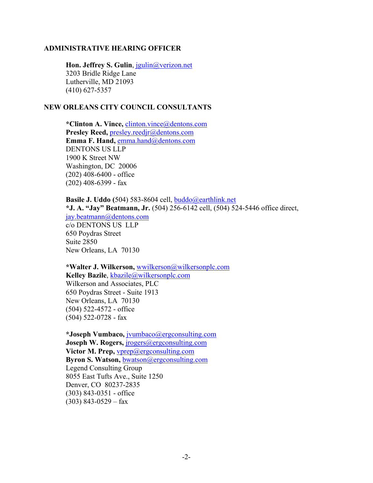### **ADMINISTRATIVE HEARING OFFICER**

**Hon. Jeffrey S. Gulin**, jgulin@verizon.net 3203 Bridle Ridge Lane Lutherville, MD 21093 (410) 627-5357

### **NEW ORLEANS CITY COUNCIL CONSULTANTS**

**\*Clinton A. Vince,** clinton.vince@dentons.com **Presley Reed,** presley.reedjr@dentons.com Emma F. Hand, emma.hand@dentons.com DENTONS US LLP 1900 K Street NW Washington, DC 20006 (202) 408-6400 - office (202) 408-6399 - fax

**Basile J. Uddo (**504) 583-8604 cell, buddo@earthlink.net **\*J. A. "Jay" Beatmann, Jr.** (504) 256-6142 cell, (504) 524-5446 office direct, jay.beatmann@dentons.com c/o DENTONS US LLP 650 Poydras Street Suite 2850 New Orleans, LA 70130

**\*Walter J. Wilkerson,** wwilkerson@wilkersonplc.com **Kelley Bazile**, kbazile@wilkersonplc.com Wilkerson and Associates, PLC 650 Poydras Street - Suite 1913 New Orleans, LA 70130 (504) 522-4572 - office (504) 522-0728 - fax

**\*Joseph Vumbaco,** jvumbaco@ergconsulting.com Joseph W. Rogers, *jrogers@ergconsulting.com* Victor M. Prep, **vprep**@ergconsulting.com **Byron S. Watson,** bwatson@ergconsulting.com Legend Consulting Group 8055 East Tufts Ave., Suite 1250 Denver, CO 80237-2835 (303) 843-0351 - office  $(303)$  843-0529 – fax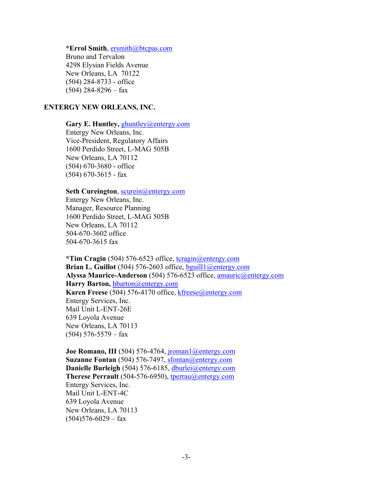### **\*Errol Smith**, ersmith@btcpas.com

Bruno and Tervalon 4298 Elysian Fields Avenue New Orleans, LA 70122 (504) 284-8733 - office  $(504)$  284-8296 – fax

### **ENTERGY NEW ORLEANS, INC.**

**Gary E. Huntley,** ghuntley@entergy.com

Entergy New Orleans, Inc. Vice-President, Regulatory Affairs 1600 Perdido Street, L-MAG 505B New Orleans, LA 70112 (504) 670-3680 - office (504) 670-3615 - fax

#### **Seth Cureington**, scurein@entergy.com

Entergy New Orleans, Inc. Manager, Resource Planning 1600 Perdido Street, L-MAG 505B New Orleans, LA 70112 504-670-3602 office 504-670-3615 fax

**\*Tim Cragin** (504) 576-6523 office, tcragin@entergy.com **Brian L. Guillot** (504) 576-2603 office, bguill1@entergy.com **Alyssa Maurice-Anderson** (504) 576-6523 office, amauric@entergy.com **Harry Barton, hbarton@entergy.com Karen Freese** (504) 576-4170 office, kfreese@entergy.com Entergy Services, Inc. Mail Unit L-ENT-26E 639 Loyola Avenue New Orleans, LA 70113  $(504)$  576-5579 – fax

**Joe Romano, III** (504) 576-4764, *jroman1@entergy.com* **Suzanne Fontan** (504) 576-7497, sfontan@entergy.com **Danielle Burleigh** (504) 576-6185, dburlei@entergy.com **Therese Perrault** (504-576-6950), tperrau@entergy.com Entergy Services, Inc. Mail Unit L-ENT-4C 639 Loyola Avenue New Orleans, LA 70113  $(504)576-6029 - fax$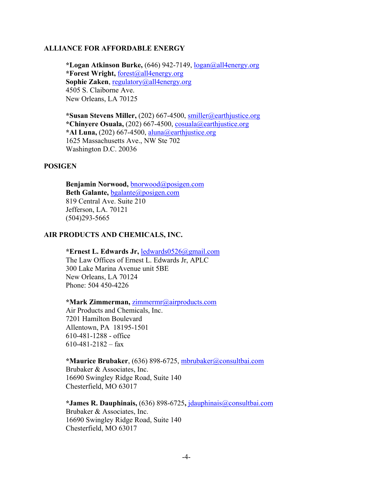### **ALLIANCE FOR AFFORDABLE ENERGY**

**\*Logan Atkinson Burke,** (646) 942-7149, logan@all4energy.org **\*Forest Wright,** forest@all4energy.org **Sophie Zaken**, regulatory@all4energy.org 4505 S. Claiborne Ave. New Orleans, LA 70125

**\*Susan Stevens Miller,** (202) 667-4500, smiller@earthjustice.org **\*Chinyere Osuala,** (202) 667-4500, cosuala@earthjustice.org **\*Al Luna,** (202) 667-4500, aluna@earthjustice.org 1625 Massachusetts Ave., NW Ste 702 Washington D.C. 20036

### **POSIGEN**

**Benjamin Norwood,** bnorwood@posigen.com **Beth Galante,** bgalante@posigen.com 819 Central Ave. Suite 210 Jefferson, LA. 70121 (504)293-5665

### **AIR PRODUCTS AND CHEMICALS, INC.**

#### **\*Ernest L. Edwards Jr,** ledwards0526@gmail.com

The Law Offices of Ernest L. Edwards Jr, APLC 300 Lake Marina Avenue unit 5BE New Orleans, LA 70124 Phone: 504 450-4226

### **\*Mark Zimmerman,** zimmermr@airproducts.com

Air Products and Chemicals, Inc. 7201 Hamilton Boulevard Allentown, PA 18195-1501 610-481-1288 - office  $610-481-2182$  – fax

### **\*Maurice Brubaker**, (636) 898-6725, mbrubaker@consultbai.com

Brubaker & Associates, Inc. 16690 Swingley Ridge Road, Suite 140 Chesterfield, MO 63017

**\*James R. Dauphinais,** (636) 898-6725**,** jdauphinais@consultbai.com Brubaker & Associates, Inc. 16690 Swingley Ridge Road, Suite 140 Chesterfield, MO 63017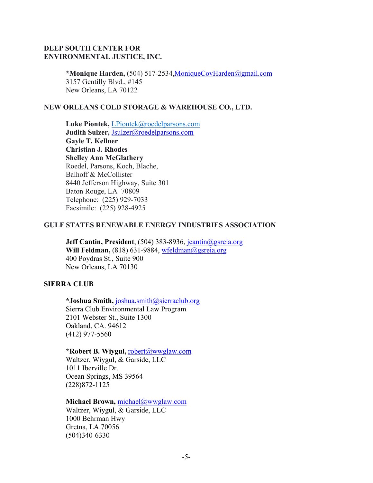### **DEEP SOUTH CENTER FOR ENVIRONMENTAL JUSTICE, INC.**

**\*Monique Harden,** (504) 517-2534,MoniqueCovHarden@gmail.com 3157 Gentilly Blvd., #145 New Orleans, LA 70122

### **NEW ORLEANS COLD STORAGE & WAREHOUSE CO., LTD.**

**Luke Piontek,** LPiontek@roedelparsons.com **Judith Sulzer,** Jsulzer@roedelparsons.com **Gayle T. Kellner Christian J. Rhodes Shelley Ann McGlathery**  Roedel, Parsons, Koch, Blache, Balhoff & McCollister 8440 Jefferson Highway, Suite 301 Baton Rouge, LA 70809 Telephone: (225) 929-7033 Facsimile: (225) 928-4925

### **GULF STATES RENEWABLE ENERGY INDUSTRIES ASSOCIATION**

**Jeff Cantin, President**, (504) 383-8936, jcantin@gsreia.org Will Feldman, (818) 631-9884, wfeldman@gsreia.org 400 Poydras St., Suite 900 New Orleans, LA 70130

### **SIERRA CLUB**

**\*Joshua Smith,** joshua.smith@sierraclub.org

Sierra Club Environmental Law Program 2101 Webster St., Suite 1300 Oakland, CA. 94612 (412) 977-5560

#### **\*Robert B. Wiygul,** robert@wwglaw.com

Waltzer, Wiygul, & Garside, LLC 1011 Iberville Dr. Ocean Springs, MS 39564 (228)872-1125

#### **Michael Brown,** michael@wwglaw.com

Waltzer, Wiygul, & Garside, LLC 1000 Behrman Hwy Gretna, LA 70056 (504)340-6330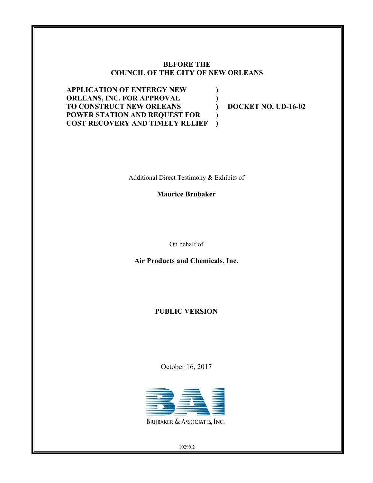**) ) ) ) )** 

**APPLICATION OF ENTERGY NEW ORLEANS, INC. FOR APPROVAL TO CONSTRUCT NEW ORLEANS POWER STATION AND REQUEST FOR COST RECOVERY AND TIMELY RELIEF**

**DOCKET NO. UD-16-02** 

Additional Direct Testimony & Exhibits of

**Maurice Brubaker**

On behalf of

**Air Products and Chemicals, Inc.** 

### **PUBLIC VERSION**

October 16, 2017



10299.2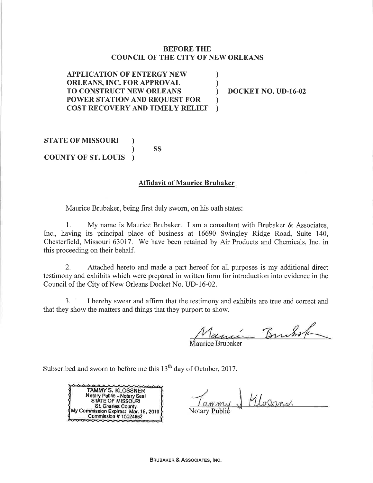$\lambda$ 

 $\mathcal{E}$ 

 $\lambda$ 

**APPLICATION OF ENTERGY NEW ORLEANS, INC. FOR APPROVAL** TO CONSTRUCT NEW ORLEANS **POWER STATION AND REQUEST FOR COST RECOVERY AND TIMELY RELIEF** 

DOCKET NO. UD-16-02

**STATE OF MISSOURI SS**  $\lambda$ **COUNTY OF ST. LOUIS** 

#### **Affidavit of Maurice Brubaker**

Maurice Brubaker, being first duly sworn, on his oath states:

My name is Maurice Brubaker. I am a consultant with Brubaker  $\&$  Associates, 1. Inc., having its principal place of business at 16690 Swingley Ridge Road, Suite 140, Chesterfield, Missouri 63017. We have been retained by Air Products and Chemicals, Inc. in this proceeding on their behalf.

2. Attached hereto and made a part hereof for all purposes is my additional direct testimony and exhibits which were prepared in written form for introduction into evidence in the Council of the City of New Orleans Docket No. UD-16-02.

3. I hereby swear and affirm that the testimony and exhibits are true and correct and that they show the matters and things that they purport to show.

Tanin Bushop

Subscribed and sworn to before me this 13<sup>th</sup> day of October, 2017.



Tammy & Klosaner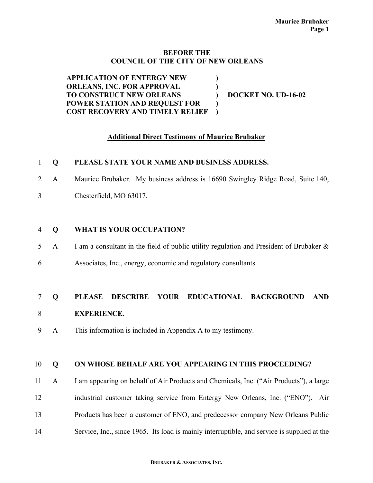**APPLICATION OF ENTERGY NEW ORLEANS, INC. FOR APPROVAL TO CONSTRUCT NEW ORLEANS POWER STATION AND REQUEST FOR COST RECOVERY AND TIMELY RELIEF ) ) ) ) )** 

**DOCKET NO. UD-16-02** 

### **Additional Direct Testimony of Maurice Brubaker**

### 1 **Q PLEASE STATE YOUR NAME AND BUSINESS ADDRESS.**

- 2 A Maurice Brubaker. My business address is 16690 Swingley Ridge Road, Suite 140,
- 3 Chesterfield, MO 63017.

### 4 **Q WHAT IS YOUR OCCUPATION?**

- 5 A I am a consultant in the field of public utility regulation and President of Brubaker &
- 6 Associates, Inc., energy, economic and regulatory consultants.

### 7 **Q PLEASE DESCRIBE YOUR EDUCATIONAL BACKGROUND AND**  8 **EXPERIENCE.**

9 A This information is included in Appendix A to my testimony.

### 10 **Q ON WHOSE BEHALF ARE YOU APPEARING IN THIS PROCEEDING?**

11 A I am appearing on behalf of Air Products and Chemicals, Inc. ("Air Products"), a large 12 industrial customer taking service from Entergy New Orleans, Inc. ("ENO"). Air 13 Products has been a customer of ENO, and predecessor company New Orleans Public 14 Service, Inc., since 1965. Its load is mainly interruptible, and service is supplied at the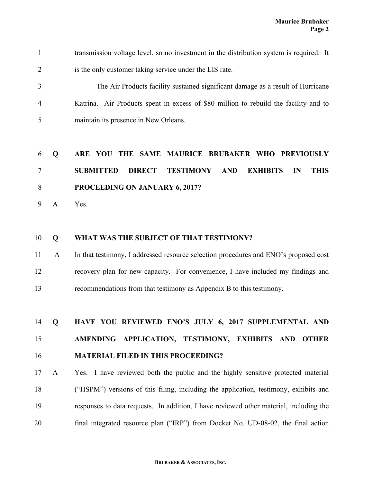1 transmission voltage level, so no investment in the distribution system is required. It 2 is the only customer taking service under the LIS rate.

3 The Air Products facility sustained significant damage as a result of Hurricane 4 Katrina. Air Products spent in excess of \$80 million to rebuild the facility and to 5 maintain its presence in New Orleans.

## 6 **Q ARE YOU THE SAME MAURICE BRUBAKER WHO PREVIOUSLY**  7 **SUBMITTED DIRECT TESTIMONY AND EXHIBITS IN THIS**  8 **PROCEEDING ON JANUARY 6, 2017?**

9 A Yes.

### 10 **Q WHAT WAS THE SUBJECT OF THAT TESTIMONY?**

11 A In that testimony, I addressed resource selection procedures and ENO's proposed cost 12 recovery plan for new capacity. For convenience, I have included my findings and 13 recommendations from that testimony as Appendix B to this testimony.

## 14 **Q HAVE YOU REVIEWED ENO'S JULY 6, 2017 SUPPLEMENTAL AND**  15 **AMENDING APPLICATION, TESTIMONY, EXHIBITS AND OTHER**  16 **MATERIAL FILED IN THIS PROCEEDING?**

17 A Yes. I have reviewed both the public and the highly sensitive protected material 18 ("HSPM") versions of this filing, including the application, testimony, exhibits and 19 responses to data requests. In addition, I have reviewed other material, including the 20 final integrated resource plan ("IRP") from Docket No. UD-08-02, the final action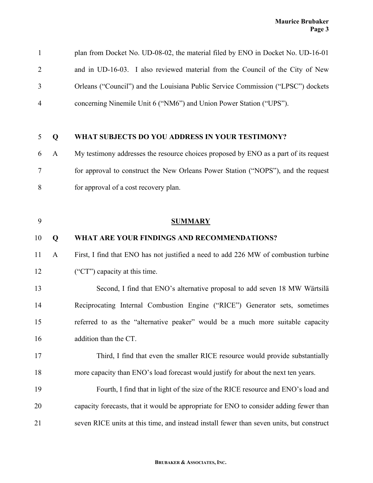| $\mathbf{1}$   | plan from Docket No. UD-08-02, the material filed by ENO in Docket No. UD-16-01  |
|----------------|----------------------------------------------------------------------------------|
| $\overline{2}$ | and in UD-16-03. I also reviewed material from the Council of the City of New    |
| 3 <sup>1</sup> | Orleans ("Council") and the Louisiana Public Service Commission ("LPSC") dockets |
| 4              | concerning Ninemile Unit 6 ("NM6") and Union Power Station ("UPS").              |

### 5 **Q WHAT SUBJECTS DO YOU ADDRESS IN YOUR TESTIMONY?**

6 A My testimony addresses the resource choices proposed by ENO as a part of its request 7 for approval to construct the New Orleans Power Station ("NOPS"), and the request 8 for approval of a cost recovery plan.

| 9  |              | <b>SUMMARY</b>                                                                           |
|----|--------------|------------------------------------------------------------------------------------------|
| 10 | Q            | WHAT ARE YOUR FINDINGS AND RECOMMENDATIONS?                                              |
| 11 | $\mathbf{A}$ | First, I find that ENO has not justified a need to add 226 MW of combustion turbine      |
| 12 |              | $("CT")$ capacity at this time.                                                          |
| 13 |              | Second, I find that ENO's alternative proposal to add seven 18 MW Wärtsilä               |
| 14 |              | Reciprocating Internal Combustion Engine ("RICE") Generator sets, sometimes              |
| 15 |              | referred to as the "alternative peaker" would be a much more suitable capacity           |
| 16 |              | addition than the CT.                                                                    |
| 17 |              | Third, I find that even the smaller RICE resource would provide substantially            |
| 18 |              | more capacity than ENO's load forecast would justify for about the next ten years.       |
| 19 |              | Fourth, I find that in light of the size of the RICE resource and ENO's load and         |
| 20 |              | capacity forecasts, that it would be appropriate for ENO to consider adding fewer than   |
| 21 |              | seven RICE units at this time, and instead install fewer than seven units, but construct |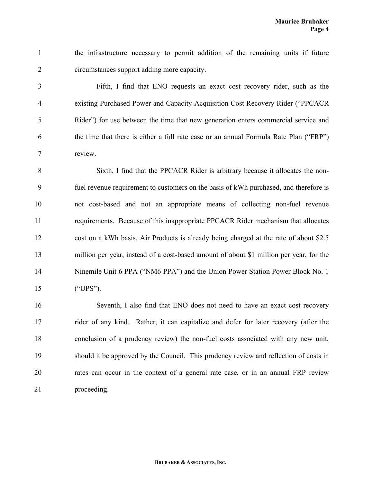1 the infrastructure necessary to permit addition of the remaining units if future 2 circumstances support adding more capacity.

3 Fifth, I find that ENO requests an exact cost recovery rider, such as the 4 existing Purchased Power and Capacity Acquisition Cost Recovery Rider ("PPCACR 5 Rider") for use between the time that new generation enters commercial service and 6 the time that there is either a full rate case or an annual Formula Rate Plan ("FRP") 7 review.

8 Sixth, I find that the PPCACR Rider is arbitrary because it allocates the non-9 fuel revenue requirement to customers on the basis of kWh purchased, and therefore is 10 not cost-based and not an appropriate means of collecting non-fuel revenue 11 requirements. Because of this inappropriate PPCACR Rider mechanism that allocates 12 cost on a kWh basis, Air Products is already being charged at the rate of about \$2.5 13 million per year, instead of a cost-based amount of about \$1 million per year, for the 14 Ninemile Unit 6 PPA ("NM6 PPA") and the Union Power Station Power Block No. 1 15 ("UPS").

16 Seventh, I also find that ENO does not need to have an exact cost recovery 17 rider of any kind. Rather, it can capitalize and defer for later recovery (after the 18 conclusion of a prudency review) the non-fuel costs associated with any new unit, 19 should it be approved by the Council. This prudency review and reflection of costs in 20 rates can occur in the context of a general rate case, or in an annual FRP review 21 proceeding.

#### **BRUBAKER & ASSOCIATES, INC.**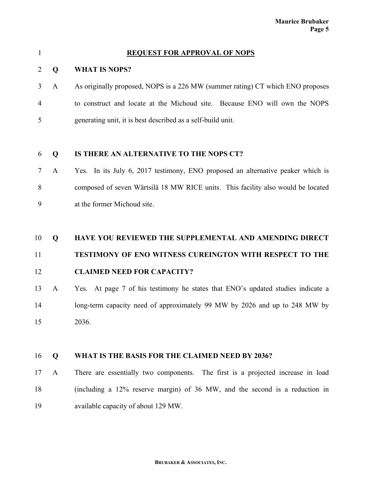| $\mathbf{1}$   |              | <b>REQUEST FOR APPROVAL OF NOPS</b>                                              |
|----------------|--------------|----------------------------------------------------------------------------------|
| $\overline{2}$ | Q            | <b>WHAT IS NOPS?</b>                                                             |
| 3              | A            | As originally proposed, NOPS is a 226 MW (summer rating) CT which ENO proposes   |
| 4              |              | to construct and locate at the Michoud site. Because ENO will own the NOPS       |
| 5              |              | generating unit, it is best described as a self-build unit.                      |
|                |              |                                                                                  |
| 6              | Q            | IS THERE AN ALTERNATIVE TO THE NOPS CT?                                          |
| $\overline{7}$ | $\mathbf{A}$ | Yes. In its July 6, 2017 testimony, ENO proposed an alternative peaker which is  |
| 8              |              | composed of seven Wärtsilä 18 MW RICE units. This facility also would be located |
| 9              |              | at the former Michoud site.                                                      |
|                |              |                                                                                  |
| 10             | Q            | <b>HAVE YOU REVIEWED THE SUPPLEMENTAL AND AMENDING DIRECT</b>                    |
| 11             |              | TESTIMONY OF ENO WITNESS CUREINGTON WITH RESPECT TO THE                          |
| 12             |              | <b>CLAIMED NEED FOR CAPACITY?</b>                                                |
| 13             | $\mathbf{A}$ | Yes. At page 7 of his testimony he states that ENO's updated studies indicate a  |
| 14             |              | long-term capacity need of approximately 99 MW by 2026 and up to 248 MW by       |
| 15             |              | 2036.                                                                            |
|                |              |                                                                                  |
| 16             | Q            | WHAT IS THE BASIS FOR THE CLAIMED NEED BY 2036?                                  |
| 17             | $\mathbf{A}$ | There are essentially two components. The first is a projected increase in load  |
| 18             |              | (including a 12% reserve margin) of 36 MW, and the second is a reduction in      |
| 19             |              | available capacity of about 129 MW.                                              |
|                |              |                                                                                  |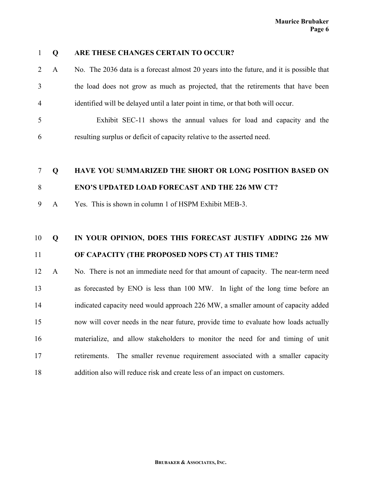| $\mathbf{1}$   | Q            | ARE THESE CHANGES CERTAIN TO OCCUR?                                                      |
|----------------|--------------|------------------------------------------------------------------------------------------|
| $\overline{2}$ | A            | No. The 2036 data is a forecast almost 20 years into the future, and it is possible that |
| 3              |              | the load does not grow as much as projected, that the retirements that have been         |
| $\overline{4}$ |              | identified will be delayed until a later point in time, or that both will occur.         |
| 5              |              | Exhibit SEC-11 shows the annual values for load and capacity and the                     |
| 6              |              | resulting surplus or deficit of capacity relative to the asserted need.                  |
|                |              |                                                                                          |
| 7              | Q            | <b>HAVE YOU SUMMARIZED THE SHORT OR LONG POSITION BASED ON</b>                           |
| 8              |              | <b>ENO'S UPDATED LOAD FORECAST AND THE 226 MW CT?</b>                                    |
| 9              | A            | Yes. This is shown in column 1 of HSPM Exhibit MEB-3.                                    |
|                |              |                                                                                          |
|                |              |                                                                                          |
| 10             | Q            | IN YOUR OPINION, DOES THIS FORECAST JUSTIFY ADDING 226 MW                                |
| 11             |              | OF CAPACITY (THE PROPOSED NOPS CT) AT THIS TIME?                                         |
| 12             | $\mathbf{A}$ | No. There is not an immediate need for that amount of capacity. The near-term need       |
| 13             |              | as forecasted by ENO is less than 100 MW. In light of the long time before an            |
| 14             |              | indicated capacity need would approach 226 MW, a smaller amount of capacity added        |
| 15             |              | now will cover needs in the near future, provide time to evaluate how loads actually     |
| 16             |              | materialize, and allow stakeholders to monitor the need for and timing of unit           |
| 17             |              | The smaller revenue requirement associated with a smaller capacity<br>retirements.       |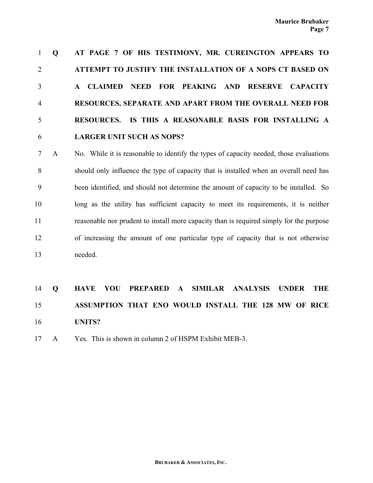**Q AT PAGE 7 OF HIS TESTIMONY, MR. CUREINGTON APPEARS TO ATTEMPT TO JUSTIFY THE INSTALLATION OF A NOPS CT BASED ON A CLAIMED NEED FOR PEAKING AND RESERVE CAPACITY RESOURCES, SEPARATE AND APART FROM THE OVERALL NEED FOR RESOURCES. IS THIS A REASONABLE BASIS FOR INSTALLING A LARGER UNIT SUCH AS NOPS?**

7 A No. While it is reasonable to identify the types of capacity needed, those evaluations 8 should only influence the type of capacity that is installed when an overall need has 9 been identified, and should not determine the amount of capacity to be installed. So 10 long as the utility has sufficient capacity to meet its requirements, it is neither 11 reasonable nor prudent to install more capacity than is required simply for the purpose 12 of increasing the amount of one particular type of capacity that is not otherwise 13 needed.

# 14 **Q HAVE YOU PREPARED A SIMILAR ANALYSIS UNDER THE**  15 **ASSUMPTION THAT ENO WOULD INSTALL THE 128 MW OF RICE**  16 **UNITS?**

17 A Yes. This is shown in column 2 of HSPM Exhibit MEB-3.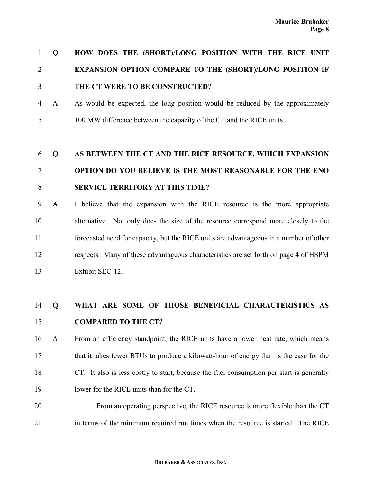## 1 **Q HOW DOES THE (SHORT)/LONG POSITION WITH THE RICE UNIT**  2 **EXPANSION OPTION COMPARE TO THE (SHORT)/LONG POSITION IF**  3 **THE CT WERE TO BE CONSTRUCTED?**

4 A As would be expected, the long position would be reduced by the approximately 5 100 MW difference between the capacity of the CT and the RICE units.

## 6 **Q AS BETWEEN THE CT AND THE RICE RESOURCE, WHICH EXPANSION**  7 **OPTION DO YOU BELIEVE IS THE MOST REASONABLE FOR THE ENO**  8 **SERVICE TERRITORY AT THIS TIME?**

9 A I believe that the expansion with the RICE resource is the more appropriate 10 alternative. Not only does the size of the resource correspond more closely to the 11 forecasted need for capacity, but the RICE units are advantageous in a number of other 12 respects. Many of these advantageous characteristics are set forth on page 4 of HSPM 13 Exhibit SEC-12.

### 14 **Q WHAT ARE SOME OF THOSE BENEFICIAL CHARACTERISTICS AS**  15 **COMPARED TO THE CT?**

16 A From an efficiency standpoint, the RICE units have a lower heat rate, which means 17 that it takes fewer BTUs to produce a kilowatt-hour of energy than is the case for the 18 CT. It also is less costly to start, because the fuel consumption per start is generally 19 lower for the RICE units than for the CT.

20 From an operating perspective, the RICE resource is more flexible than the CT 21 in terms of the minimum required run times when the resource is started. The RICE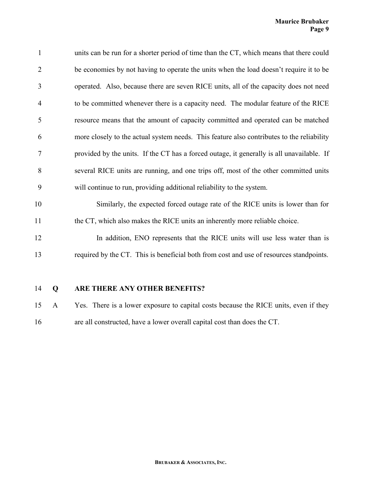| $\mathbf{1}$    | units can be run for a shorter period of time than the CT, which means that there could   |
|-----------------|-------------------------------------------------------------------------------------------|
| 2               | be economies by not having to operate the units when the load doesn't require it to be    |
| 3               | operated. Also, because there are seven RICE units, all of the capacity does not need     |
| $\overline{4}$  | to be committed whenever there is a capacity need. The modular feature of the RICE        |
| $\overline{5}$  | resource means that the amount of capacity committed and operated can be matched          |
| 6               | more closely to the actual system needs. This feature also contributes to the reliability |
| $7\phantom{.0}$ | provided by the units. If the CT has a forced outage, it generally is all unavailable. If |
| 8               | several RICE units are running, and one trips off, most of the other committed units      |
| 9               | will continue to run, providing additional reliability to the system.                     |
|                 |                                                                                           |

10 Similarly, the expected forced outage rate of the RICE units is lower than for 11 the CT, which also makes the RICE units an inherently more reliable choice.

12 In addition, ENO represents that the RICE units will use less water than is 13 required by the CT. This is beneficial both from cost and use of resources standpoints.

### 14 **Q ARE THERE ANY OTHER BENEFITS?**

15 A Yes. There is a lower exposure to capital costs because the RICE units, even if they 16 are all constructed, have a lower overall capital cost than does the CT.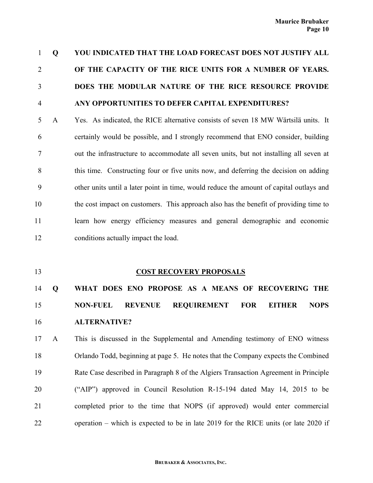## 1 **Q YOU INDICATED THAT THE LOAD FORECAST DOES NOT JUSTIFY ALL**  2 **OF THE CAPACITY OF THE RICE UNITS FOR A NUMBER OF YEARS.**  3 **DOES THE MODULAR NATURE OF THE RICE RESOURCE PROVIDE**  4 **ANY OPPORTUNITIES TO DEFER CAPITAL EXPENDITURES?**

5 A Yes. As indicated, the RICE alternative consists of seven 18 MW Wärtsilä units. It 6 certainly would be possible, and I strongly recommend that ENO consider, building 7 out the infrastructure to accommodate all seven units, but not installing all seven at 8 this time. Constructing four or five units now, and deferring the decision on adding 9 other units until a later point in time, would reduce the amount of capital outlays and 10 the cost impact on customers. This approach also has the benefit of providing time to 11 learn how energy efficiency measures and general demographic and economic 12 conditions actually impact the load.

### 13 **COST RECOVERY PROPOSALS**

## 14 **Q WHAT DOES ENO PROPOSE AS A MEANS OF RECOVERING THE**  15 **NON-FUEL REVENUE REQUIREMENT FOR EITHER NOPS**  16 **ALTERNATIVE?**

17 A This is discussed in the Supplemental and Amending testimony of ENO witness 18 Orlando Todd, beginning at page 5. He notes that the Company expects the Combined 19 Rate Case described in Paragraph 8 of the Algiers Transaction Agreement in Principle 20 ("AIP") approved in Council Resolution R-15-194 dated May 14, 2015 to be 21 completed prior to the time that NOPS (if approved) would enter commercial 22 operation – which is expected to be in late 2019 for the RICE units (or late 2020 if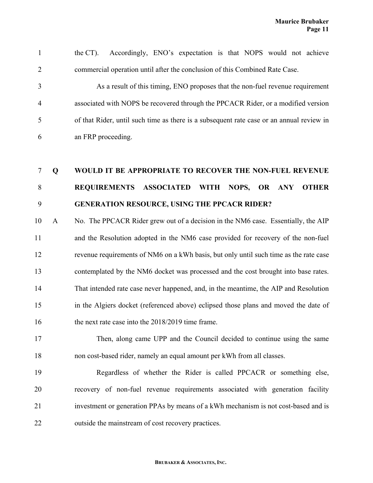|  | the CT). Accordingly, ENO's expectation is that NOPS would not achieve      |  |  |  |  |
|--|-----------------------------------------------------------------------------|--|--|--|--|
|  | commercial operation until after the conclusion of this Combined Rate Case. |  |  |  |  |

3 As a result of this timing, ENO proposes that the non-fuel revenue requirement 4 associated with NOPS be recovered through the PPCACR Rider, or a modified version 5 of that Rider, until such time as there is a subsequent rate case or an annual review in 6 an FRP proceeding.

## 7 **Q WOULD IT BE APPROPRIATE TO RECOVER THE NON-FUEL REVENUE**  8 **REQUIREMENTS ASSOCIATED WITH NOPS, OR ANY OTHER**  9 **GENERATION RESOURCE, USING THE PPCACR RIDER?**

10 A No. The PPCACR Rider grew out of a decision in the NM6 case. Essentially, the AIP 11 and the Resolution adopted in the NM6 case provided for recovery of the non-fuel 12 revenue requirements of NM6 on a kWh basis, but only until such time as the rate case 13 contemplated by the NM6 docket was processed and the cost brought into base rates. 14 That intended rate case never happened, and, in the meantime, the AIP and Resolution 15 in the Algiers docket (referenced above) eclipsed those plans and moved the date of 16 the next rate case into the 2018/2019 time frame.

17 Then, along came UPP and the Council decided to continue using the same 18 non cost-based rider, namely an equal amount per kWh from all classes.

19 Regardless of whether the Rider is called PPCACR or something else, 20 recovery of non-fuel revenue requirements associated with generation facility 21 investment or generation PPAs by means of a kWh mechanism is not cost-based and is 22 outside the mainstream of cost recovery practices.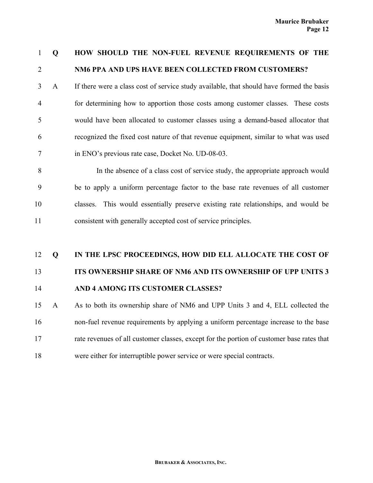### 1 **Q HOW SHOULD THE NON-FUEL REVENUE REQUIREMENTS OF THE**  2 **NM6 PPA AND UPS HAVE BEEN COLLECTED FROM CUSTOMERS?**

3 A If there were a class cost of service study available, that should have formed the basis 4 for determining how to apportion those costs among customer classes. These costs 5 would have been allocated to customer classes using a demand-based allocator that 6 recognized the fixed cost nature of that revenue equipment, similar to what was used 7 in ENO's previous rate case, Docket No. UD-08-03.

8 In the absence of a class cost of service study, the appropriate approach would 9 be to apply a uniform percentage factor to the base rate revenues of all customer 10 classes. This would essentially preserve existing rate relationships, and would be 11 consistent with generally accepted cost of service principles.

## 12 **Q IN THE LPSC PROCEEDINGS, HOW DID ELL ALLOCATE THE COST OF**  13 **ITS OWNERSHIP SHARE OF NM6 AND ITS OWNERSHIP OF UPP UNITS 3**  14 **AND 4 AMONG ITS CUSTOMER CLASSES?**

15 A As to both its ownership share of NM6 and UPP Units 3 and 4, ELL collected the 16 non-fuel revenue requirements by applying a uniform percentage increase to the base 17 rate revenues of all customer classes, except for the portion of customer base rates that 18 were either for interruptible power service or were special contracts.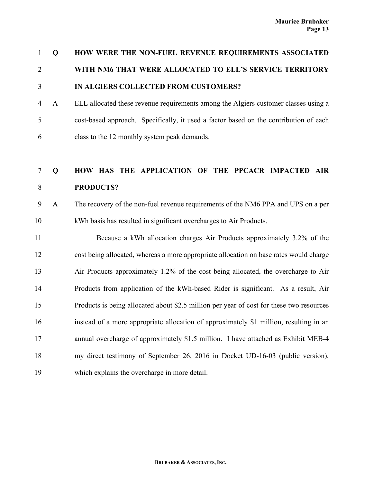## 1 **Q HOW WERE THE NON-FUEL REVENUE REQUIREMENTS ASSOCIATED**  2 **WITH NM6 THAT WERE ALLOCATED TO ELL'S SERVICE TERRITORY**  3 **IN ALGIERS COLLECTED FROM CUSTOMERS?**

4 A ELL allocated these revenue requirements among the Algiers customer classes using a 5 cost-based approach. Specifically, it used a factor based on the contribution of each 6 class to the 12 monthly system peak demands.

## 7 **Q HOW HAS THE APPLICATION OF THE PPCACR IMPACTED AIR**  8 **PRODUCTS?**

- 9 A The recovery of the non-fuel revenue requirements of the NM6 PPA and UPS on a per 10 kWh basis has resulted in significant overcharges to Air Products.
- 11 Because a kWh allocation charges Air Products approximately 3.2% of the 12 cost being allocated, whereas a more appropriate allocation on base rates would charge 13 Air Products approximately 1.2% of the cost being allocated, the overcharge to Air 14 Products from application of the kWh-based Rider is significant. As a result, Air 15 Products is being allocated about \$2.5 million per year of cost for these two resources 16 instead of a more appropriate allocation of approximately \$1 million, resulting in an 17 annual overcharge of approximately \$1.5 million. I have attached as Exhibit MEB-4 18 my direct testimony of September 26, 2016 in Docket UD-16-03 (public version), 19 which explains the overcharge in more detail.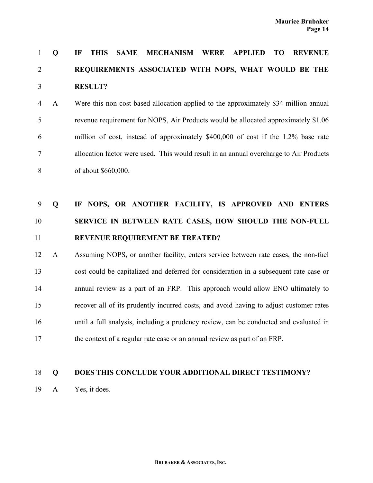## 1 **Q IF THIS SAME MECHANISM WERE APPLIED TO REVENUE**  2 **REQUIREMENTS ASSOCIATED WITH NOPS, WHAT WOULD BE THE**  3 **RESULT?**

4 A Were this non cost-based allocation applied to the approximately \$34 million annual 5 revenue requirement for NOPS, Air Products would be allocated approximately \$1.06 6 million of cost, instead of approximately \$400,000 of cost if the 1.2% base rate 7 allocation factor were used. This would result in an annual overcharge to Air Products 8 of about \$660,000.

## 9 **Q IF NOPS, OR ANOTHER FACILITY, IS APPROVED AND ENTERS**  10 **SERVICE IN BETWEEN RATE CASES, HOW SHOULD THE NON-FUEL**  11 **REVENUE REQUIREMENT BE TREATED?**

12 A Assuming NOPS, or another facility, enters service between rate cases, the non-fuel 13 cost could be capitalized and deferred for consideration in a subsequent rate case or 14 annual review as a part of an FRP. This approach would allow ENO ultimately to 15 recover all of its prudently incurred costs, and avoid having to adjust customer rates 16 until a full analysis, including a prudency review, can be conducted and evaluated in 17 the context of a regular rate case or an annual review as part of an FRP.

### 18 **Q DOES THIS CONCLUDE YOUR ADDITIONAL DIRECT TESTIMONY?**

19 A Yes, it does.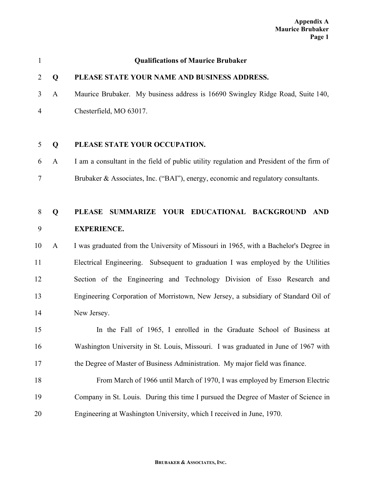1 **Qualifications of Maurice Brubaker**  2 **Q PLEASE STATE YOUR NAME AND BUSINESS ADDRESS.**  3 A Maurice Brubaker. My business address is 16690 Swingley Ridge Road, Suite 140, 4 Chesterfield, MO 63017. 5 **Q PLEASE STATE YOUR OCCUPATION.**  6 A I am a consultant in the field of public utility regulation and President of the firm of 7 Brubaker & Associates, Inc. ("BAI"), energy, economic and regulatory consultants.

### 8 **Q PLEASE SUMMARIZE YOUR EDUCATIONAL BACKGROUND AND**  9 **EXPERIENCE.**

10 A I was graduated from the University of Missouri in 1965, with a Bachelor's Degree in 11 Electrical Engineering. Subsequent to graduation I was employed by the Utilities 12 Section of the Engineering and Technology Division of Esso Research and 13 Engineering Corporation of Morristown, New Jersey, a subsidiary of Standard Oil of 14 New Jersey.

15 In the Fall of 1965, I enrolled in the Graduate School of Business at 16 Washington University in St. Louis, Missouri. I was graduated in June of 1967 with 17 the Degree of Master of Business Administration. My major field was finance.

18 From March of 1966 until March of 1970, I was employed by Emerson Electric 19 Company in St. Louis. During this time I pursued the Degree of Master of Science in 20 Engineering at Washington University, which I received in June, 1970.

#### **BRUBAKER & ASSOCIATES, INC.**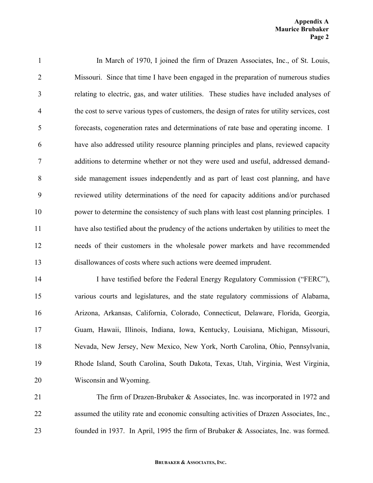1 In March of 1970, I joined the firm of Drazen Associates, Inc., of St. Louis, 2 Missouri. Since that time I have been engaged in the preparation of numerous studies 3 relating to electric, gas, and water utilities. These studies have included analyses of 4 the cost to serve various types of customers, the design of rates for utility services, cost 5 forecasts, cogeneration rates and determinations of rate base and operating income. I 6 have also addressed utility resource planning principles and plans, reviewed capacity 7 additions to determine whether or not they were used and useful, addressed demand-8 side management issues independently and as part of least cost planning, and have 9 reviewed utility determinations of the need for capacity additions and/or purchased 10 power to determine the consistency of such plans with least cost planning principles. I 11 have also testified about the prudency of the actions undertaken by utilities to meet the 12 needs of their customers in the wholesale power markets and have recommended 13 disallowances of costs where such actions were deemed imprudent.

14 I have testified before the Federal Energy Regulatory Commission ("FERC"), 15 various courts and legislatures, and the state regulatory commissions of Alabama, 16 Arizona, Arkansas, California, Colorado, Connecticut, Delaware, Florida, Georgia, 17 Guam, Hawaii, Illinois, Indiana, Iowa, Kentucky, Louisiana, Michigan, Missouri, 18 Nevada, New Jersey, New Mexico, New York, North Carolina, Ohio, Pennsylvania, 19 Rhode Island, South Carolina, South Dakota, Texas, Utah, Virginia, West Virginia, 20 Wisconsin and Wyoming.

21 The firm of Drazen-Brubaker & Associates, Inc. was incorporated in 1972 and 22 assumed the utility rate and economic consulting activities of Drazen Associates, Inc., 23 founded in 1937. In April, 1995 the firm of Brubaker & Associates, Inc. was formed.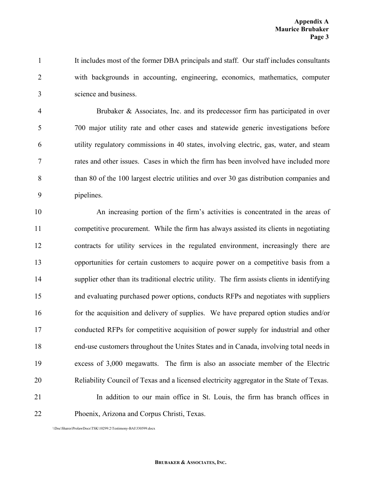1 It includes most of the former DBA principals and staff. Our staff includes consultants 2 with backgrounds in accounting, engineering, economics, mathematics, computer 3 science and business.

4 Brubaker & Associates, Inc. and its predecessor firm has participated in over 5 700 major utility rate and other cases and statewide generic investigations before 6 utility regulatory commissions in 40 states, involving electric, gas, water, and steam 7 rates and other issues. Cases in which the firm has been involved have included more 8 than 80 of the 100 largest electric utilities and over 30 gas distribution companies and 9 pipelines.

10 An increasing portion of the firm's activities is concentrated in the areas of 11 competitive procurement. While the firm has always assisted its clients in negotiating 12 contracts for utility services in the regulated environment, increasingly there are 13 opportunities for certain customers to acquire power on a competitive basis from a 14 supplier other than its traditional electric utility. The firm assists clients in identifying 15 and evaluating purchased power options, conducts RFPs and negotiates with suppliers 16 for the acquisition and delivery of supplies. We have prepared option studies and/or 17 conducted RFPs for competitive acquisition of power supply for industrial and other 18 end-use customers throughout the Unites States and in Canada, involving total needs in 19 excess of 3,000 megawatts. The firm is also an associate member of the Electric 20 Reliability Council of Texas and a licensed electricity aggregator in the State of Texas. 21 In addition to our main office in St. Louis, the firm has branch offices in 22 Phoenix, Arizona and Corpus Christi, Texas.

\\Doc\Shares\ProlawDocs\TSK\10299.2\Testimony-BAI\330599.docx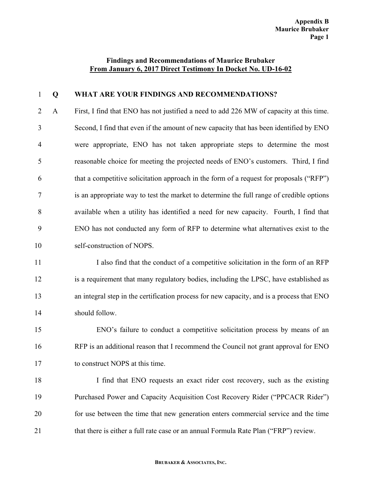### **Findings and Recommendations of Maurice Brubaker From January 6, 2017 Direct Testimony In Docket No. UD-16-02**

### 1 **Q WHAT ARE YOUR FINDINGS AND RECOMMENDATIONS?**

2 A First, I find that ENO has not justified a need to add 226 MW of capacity at this time. 3 Second, I find that even if the amount of new capacity that has been identified by ENO 4 were appropriate, ENO has not taken appropriate steps to determine the most 5 reasonable choice for meeting the projected needs of ENO's customers. Third, I find 6 that a competitive solicitation approach in the form of a request for proposals ("RFP") 7 is an appropriate way to test the market to determine the full range of credible options 8 available when a utility has identified a need for new capacity. Fourth, I find that 9 ENO has not conducted any form of RFP to determine what alternatives exist to the 10 self-construction of NOPS.

11 I also find that the conduct of a competitive solicitation in the form of an RFP 12 is a requirement that many regulatory bodies, including the LPSC, have established as 13 an integral step in the certification process for new capacity, and is a process that ENO 14 should follow.

15 ENO's failure to conduct a competitive solicitation process by means of an 16 RFP is an additional reason that I recommend the Council not grant approval for ENO 17 to construct NOPS at this time.

18 I find that ENO requests an exact rider cost recovery, such as the existing 19 Purchased Power and Capacity Acquisition Cost Recovery Rider ("PPCACR Rider") 20 for use between the time that new generation enters commercial service and the time 21 that there is either a full rate case or an annual Formula Rate Plan ("FRP") review.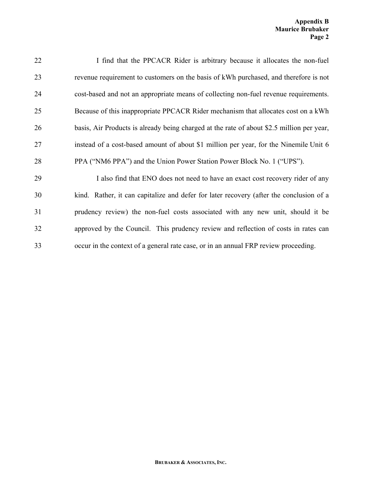| 22 | I find that the PPCACR Rider is arbitrary because it allocates the non-fuel               |
|----|-------------------------------------------------------------------------------------------|
| 23 | revenue requirement to customers on the basis of kWh purchased, and therefore is not      |
| 24 | cost-based and not an appropriate means of collecting non-fuel revenue requirements.      |
| 25 | Because of this inappropriate PPCACR Rider mechanism that allocates cost on a kWh         |
| 26 | basis, Air Products is already being charged at the rate of about \$2.5 million per year, |
| 27 | instead of a cost-based amount of about \$1 million per year, for the Ninemile Unit 6     |
| 28 | PPA ("NM6 PPA") and the Union Power Station Power Block No. 1 ("UPS").                    |
| 29 | I also find that ENO does not need to have an exact cost recovery rider of any            |
| 30 | kind. Rather, it can capitalize and defer for later recovery (after the conclusion of a   |
| 31 | prudency review) the non-fuel costs associated with any new unit, should it be            |
| 32 | approved by the Council. This prudency review and reflection of costs in rates can        |
| 33 | occur in the context of a general rate case, or in an annual FRP review proceeding.       |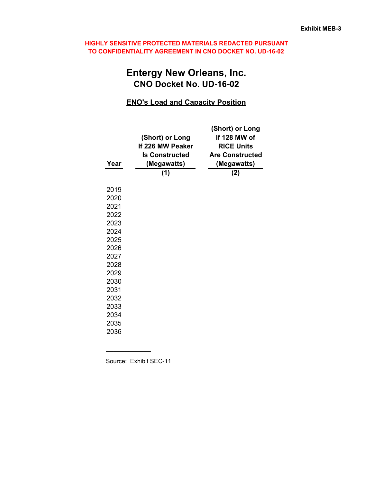### **HIGHLY SENSITIVE PROTECTED MATERIALS REDACTED PURSUANT TO CONFIDENTIALITY AGREEMENT IN CNO DOCKET NO. UD-16-02**

### **Entergy New Orleans, Inc. CNO Docket No. UD-16-02**

### **ENO's Load and Capacity Position**

| Year | (Short) or Long<br>If 226 MW Peaker<br><b>Is Constructed</b><br>(Megawatts) | (Short) or Long<br>If 128 MW of<br><b>RICE Units</b><br><b>Are Constructed</b><br>(Megawatts) |
|------|-----------------------------------------------------------------------------|-----------------------------------------------------------------------------------------------|
|      | (1)                                                                         | (2)                                                                                           |
|      |                                                                             |                                                                                               |
| 2019 |                                                                             |                                                                                               |
| 2020 |                                                                             |                                                                                               |
| 2021 |                                                                             |                                                                                               |
| 2022 |                                                                             |                                                                                               |
| 2023 |                                                                             |                                                                                               |
| 2024 |                                                                             |                                                                                               |
| 2025 |                                                                             |                                                                                               |
| 2026 |                                                                             |                                                                                               |
| 2027 |                                                                             |                                                                                               |
| 2028 |                                                                             |                                                                                               |
| 2029 |                                                                             |                                                                                               |
| 2030 |                                                                             |                                                                                               |
| 2031 |                                                                             |                                                                                               |
| 2032 |                                                                             |                                                                                               |
| 2033 |                                                                             |                                                                                               |
| 2034 |                                                                             |                                                                                               |
| 2035 |                                                                             |                                                                                               |
| 2036 |                                                                             |                                                                                               |

Source: Exhibit SEC-11

 $\mathcal{L}_\text{max}$  . The set of the set of the set of the set of the set of the set of the set of the set of the set of the set of the set of the set of the set of the set of the set of the set of the set of the set of the set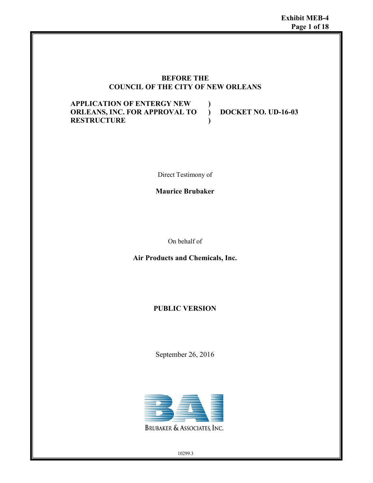**) ) )**

### **APPLICATION OF ENTERGY NEW ORLEANS, INC. FOR APPROVAL TO RESTRUCTURE**

**DOCKET NO. UD-16-03**

Direct Testimony of

**Maurice Brubaker**

On behalf of

**Air Products and Chemicals, Inc.**

### **PUBLIC VERSION**

September 26, 2016



10299.3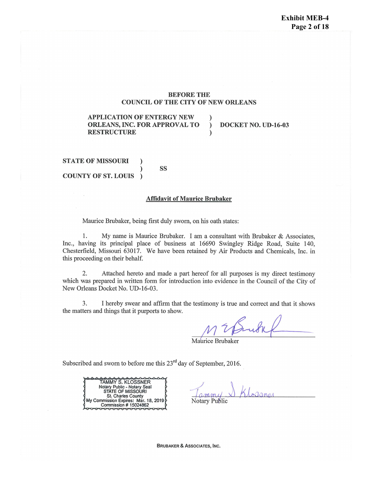$\lambda$ 

 $\mathcal{E}$ 

### **APPLICATION OF ENTERGY NEW** ORLEANS, INC. FOR APPROVAL TO **RESTRUCTURE**

DOCKET NO. UD-16-03

**STATE OF MISSOURI**  $\lambda$  $\lambda$ 

**COUNTY OF ST. LOUIS** )

#### **Affidavit of Maurice Brubaker**

Maurice Brubaker, being first duly sworn, on his oath states:

SS

1. My name is Maurice Brubaker. I am a consultant with Brubaker & Associates, Inc., having its principal place of business at 16690 Swingley Ridge Road, Suite 140, Chesterfield, Missouri 63017. We have been retained by Air Products and Chemicals, Inc. in this proceeding on their behalf.

 $\overline{2}$ . Attached hereto and made a part hereof for all purposes is my direct testimony which was prepared in written form for introduction into evidence in the Council of the City of New Orleans Docket No. UD-16-03.

 $3.$ I hereby swear and affirm that the testimony is true and correct and that it shows the matters and things that it purports to show.

Maurice Brubaker

Subscribed and sworn to before me this 23<sup>rd</sup> day of September, 2016.



Klossne amm **Notary Public** 

**BRUBAKER & ASSOCIATES, INC.**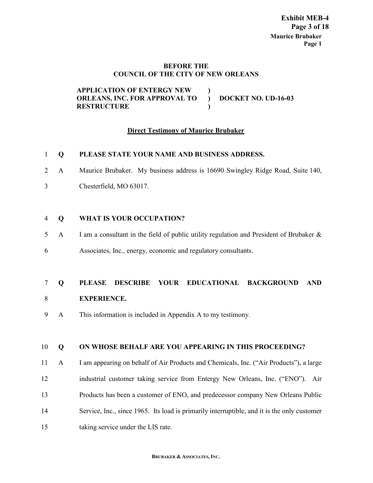**APPLICATION OF ENTERGY NEW ORLEANS, INC. FOR APPROVAL TO RESTRUCTURE ) ) )**

**DOCKET NO. UD-16-03**

### **Direct Testimony of Maurice Brubaker**

1 **Q PLEASE STATE YOUR NAME AND BUSINESS ADDRESS.**

- 2 A Maurice Brubaker. My business address is 16690 Swingley Ridge Road, Suite 140,
- 3 Chesterfield, MO 63017.

### 4 **Q WHAT IS YOUR OCCUPATION?**

5 A I am a consultant in the field of public utility regulation and President of Brubaker &

6 Associates, Inc., energy, economic and regulatory consultants.

### 7 **Q PLEASE DESCRIBE YOUR EDUCATIONAL BACKGROUND AND**  8 **EXPERIENCE.**

9 A This information is included in Appendix A to my testimony.

### 10 **Q ON WHOSE BEHALF ARE YOU APPEARING IN THIS PROCEEDING?**

11 A I am appearing on behalf of Air Products and Chemicals, Inc. ("Air Products"), a large 12 industrial customer taking service from Entergy New Orleans, Inc. ("ENO"). Air 13 Products has been a customer of ENO, and predecessor company New Orleans Public 14 Service, Inc., since 1965. Its load is primarily interruptible, and it is the only customer 15 taking service under the LIS rate.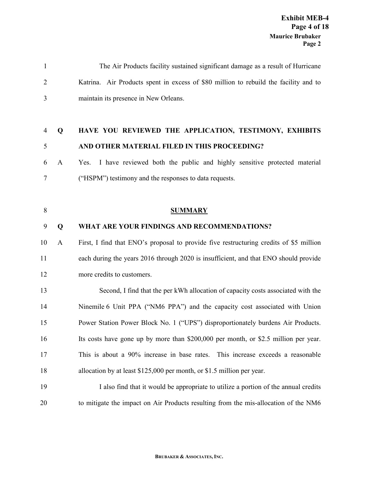| The Air Products facility sustained significant damage as a result of Hurricane      |
|--------------------------------------------------------------------------------------|
| Katrina. Air Products spent in excess of \$80 million to rebuild the facility and to |
| maintain its presence in New Orleans.                                                |

### 4 **Q HAVE YOU REVIEWED THE APPLICATION, TESTIMONY, EXHIBITS**  5 **AND OTHER MATERIAL FILED IN THIS PROCEEDING?**

### 6 A Yes. I have reviewed both the public and highly sensitive protected material 7 ("HSPM") testimony and the responses to data requests.

8 **SUMMARY** 9 **Q WHAT ARE YOUR FINDINGS AND RECOMMENDATIONS?** 10 A First, I find that ENO's proposal to provide five restructuring credits of \$5 million 11 each during the years 2016 through 2020 is insufficient, and that ENO should provide 12 more credits to customers. 13 Second, I find that the per kWh allocation of capacity costs associated with the 14 Ninemile 6 Unit PPA ("NM6 PPA") and the capacity cost associated with Union 15 Power Station Power Block No. 1 ("UPS") disproportionately burdens Air Products. 16 Its costs have gone up by more than \$200,000 per month, or \$2.5 million per year. 17 This is about a 90% increase in base rates. This increase exceeds a reasonable 18 allocation by at least \$125,000 per month, or \$1.5 million per year. 19 I also find that it would be appropriate to utilize a portion of the annual credits 20 to mitigate the impact on Air Products resulting from the mis-allocation of the NM6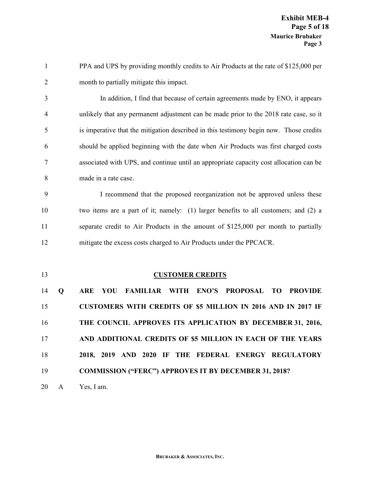1 PPA and UPS by providing monthly credits to Air Products at the rate of \$125,000 per 2 month to partially mitigate this impact.

3 In addition, I find that because of certain agreements made by ENO, it appears 4 unlikely that any permanent adjustment can be made prior to the 2018 rate case, so it 5 is imperative that the mitigation described in this testimony begin now. Those credits 6 should be applied beginning with the date when Air Products was first charged costs 7 associated with UPS, and continue until an appropriate capacity cost allocation can be 8 made in a rate case.

9 I recommend that the proposed reorganization not be approved unless these 10 two items are a part of it; namely: (1) larger benefits to all customers; and (2) a 11 separate credit to Air Products in the amount of \$125,000 per month to partially 12 mitigate the excess costs charged to Air Products under the PPCACR.

### 13 **CUSTOMER CREDITS**

**Q ARE YOU FAMILIAR WITH ENO'S PROPOSAL TO PROVIDE CUSTOMERS WITH CREDITS OF \$5 MILLION IN 2016 AND IN 2017 IF THE COUNCIL APPROVES ITS APPLICATION BY DECEMBER 31, 2016, AND ADDITIONAL CREDITS OF \$5 MILLION IN EACH OF THE YEARS 2018, 2019 AND 2020 IF THE FEDERAL ENERGY REGULATORY COMMISSION ("FERC") APPROVES IT BY DECEMBER 31, 2018?**

20 A Yes, I am.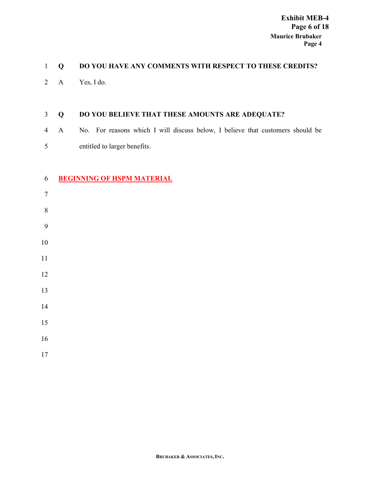### **Q DO YOU HAVE ANY COMMENTS WITH RESPECT TO THESE CREDITS?**

2 A Yes, I do.

### **Q DO YOU BELIEVE THAT THESE AMOUNTS ARE ADEQUATE?**

4 A No. For reasons which I will discuss below, I believe that customers should be 5 entitled to larger benefits.

### **BEGINNING OF HSPM MATERIAL**

- 
- 
- 
- 
- 
- 
- 
- 
- 
- 
- 
- 
- 
- 
-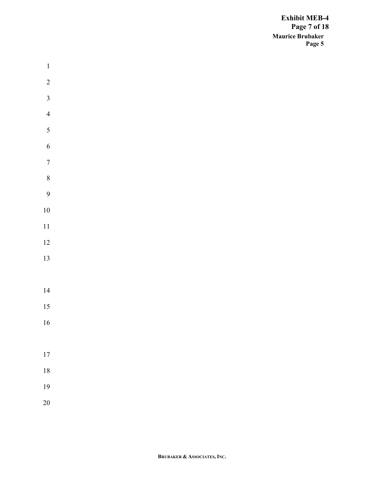**Maurice Brubaker Page 5 Exhibit MEB-4 Page 7 of 18**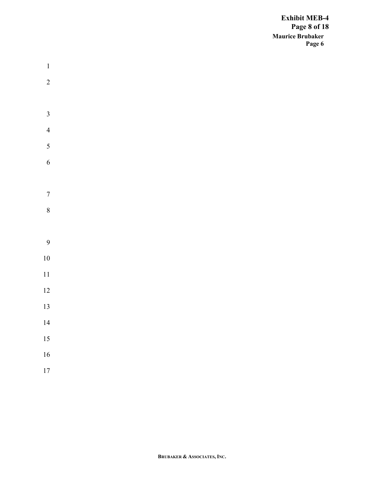**Maurice Brubaker Page 6 Exhibit MEB-4 Page 8 of 18**

- 
- 
- 
- 
- 
- 
- 
- 
- 
- 
- 
- 
- 
- 
- 
- 
-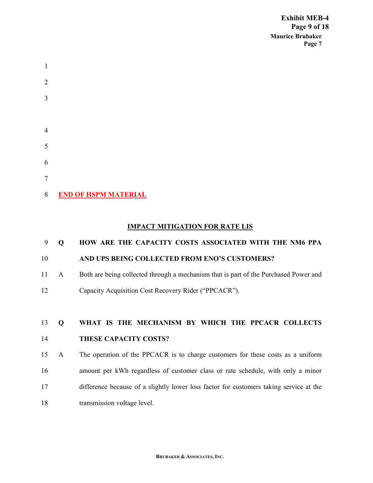- 1
- 2
- 3
- 
- 4
- 
- 5
- 6
- 7
- 8 **END OF HSPM MATERIAL**

### **IMPACT MITIGATION FOR RATE LIS**

### 9 **Q HOW ARE THE CAPACITY COSTS ASSOCIATED WITH THE NM6 PPA**

### 10 **AND UPS BEING COLLECTED FROM ENO'S CUSTOMERS?**

11 A Both are being collected through a mechanism that is part of the Purchased Power and 12 Capacity Acquisition Cost Recovery Rider ("PPCACR").

## 13 **Q WHAT IS THE MECHANISM BY WHICH THE PPCACR COLLECTS**

### 14 **THESE CAPACITY COSTS?**

15 A The operation of the PPCACR is to charge customers for these costs as a uniform 16 amount per kWh regardless of customer class or rate schedule, with only a minor 17 difference because of a slightly lower loss factor for customers taking service at the 18 transmission voltage level.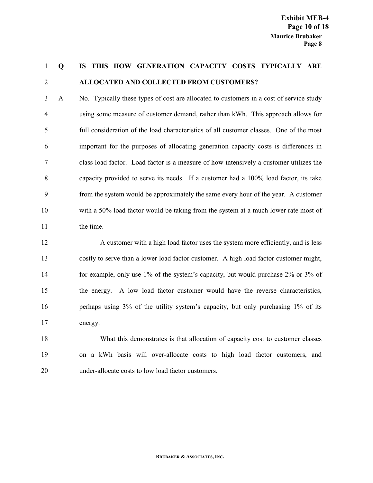### 1 **Q IS THIS HOW GENERATION CAPACITY COSTS TYPICALLY ARE**  2 **ALLOCATED AND COLLECTED FROM CUSTOMERS?**

3 A No. Typically these types of cost are allocated to customers in a cost of service study 4 using some measure of customer demand, rather than kWh. This approach allows for 5 full consideration of the load characteristics of all customer classes. One of the most 6 important for the purposes of allocating generation capacity costs is differences in 7 class load factor. Load factor is a measure of how intensively a customer utilizes the 8 capacity provided to serve its needs. If a customer had a 100% load factor, its take 9 from the system would be approximately the same every hour of the year. A customer 10 with a 50% load factor would be taking from the system at a much lower rate most of 11 the time.

12 A customer with a high load factor uses the system more efficiently, and is less 13 costly to serve than a lower load factor customer. A high load factor customer might, 14 for example, only use 1% of the system's capacity, but would purchase 2% or 3% of 15 the energy. A low load factor customer would have the reverse characteristics, 16 perhaps using 3% of the utility system's capacity, but only purchasing 1% of its 17 energy.

18 What this demonstrates is that allocation of capacity cost to customer classes 19 on a kWh basis will over-allocate costs to high load factor customers, and 20 under-allocate costs to low load factor customers.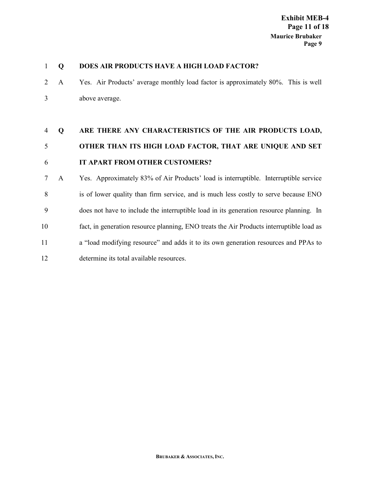### 1 **Q DOES AIR PRODUCTS HAVE A HIGH LOAD FACTOR?**

2 A Yes. Air Products' average monthly load factor is approximately 80%. This is well 3 above average.

## 4 **Q ARE THERE ANY CHARACTERISTICS OF THE AIR PRODUCTS LOAD,**  5 **OTHER THAN ITS HIGH LOAD FACTOR, THAT ARE UNIQUE AND SET**  6 **IT APART FROM OTHER CUSTOMERS?**

7 A Yes. Approximately 83% of Air Products' load is interruptible. Interruptible service 8 is of lower quality than firm service, and is much less costly to serve because ENO 9 does not have to include the interruptible load in its generation resource planning. In 10 fact, in generation resource planning, ENO treats the Air Products interruptible load as 11 a "load modifying resource" and adds it to its own generation resources and PPAs to 12 determine its total available resources.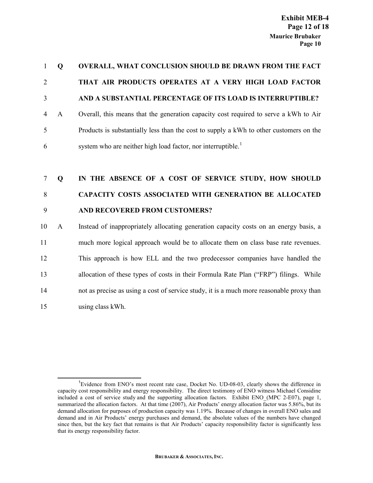|                  | <b>OVERALL, WHAT CONCLUSION SHOULD BE DRAWN FROM THE FACT</b>                          |
|------------------|----------------------------------------------------------------------------------------|
| 2                | THAT AIR PRODUCTS OPERATES AT A VERY HIGH LOAD FACTOR                                  |
| 3                | AND A SUBSTANTIAL PERCENTAGE OF ITS LOAD IS INTERRUPTIBLE?                             |
| $4 \overline{A}$ | Overall, this means that the generation capacity cost required to serve a kWh to Air   |
| 5                | Products is substantially less than the cost to supply a kWh to other customers on the |
| 6                | system who are neither high load factor, nor interruptible. <sup>1</sup>               |

7 **Q IN THE ABSENCE OF A COST OF SERVICE STUDY, HOW SHOULD** 

8 **CAPACITY COSTS ASSOCIATED WITH GENERATION BE ALLOCATED** 

### 9 **AND RECOVERED FROM CUSTOMERS?**

10 A Instead of inappropriately allocating generation capacity costs on an energy basis, a 11 much more logical approach would be to allocate them on class base rate revenues. 12 This approach is how ELL and the two predecessor companies have handled the 13 allocation of these types of costs in their Formula Rate Plan ("FRP") filings. While 14 not as precise as using a cost of service study, it is a much more reasonable proxy than 15 using class kWh.

<span id="page-39-0"></span> $\overline{\phantom{a}}$  1 <sup>1</sup>Evidence from ENO's most recent rate case, Docket No. UD-08-03, clearly shows the difference in capacity cost responsibility and energy responsibility. The direct testimony of ENO witness Michael Considine included a cost of service study and the supporting allocation factors. Exhibit ENO\_(MPC 2-E07), page 1, summarized the allocation factors. At that time (2007), Air Products' energy allocation factor was 5.86%, but its demand allocation for purposes of production capacity was 1.19%. Because of changes in overall ENO sales and demand and in Air Products' energy purchases and demand, the absolute values of the numbers have changed since then, but the key fact that remains is that Air Products' capacity responsibility factor is significantly less that its energy responsibility factor.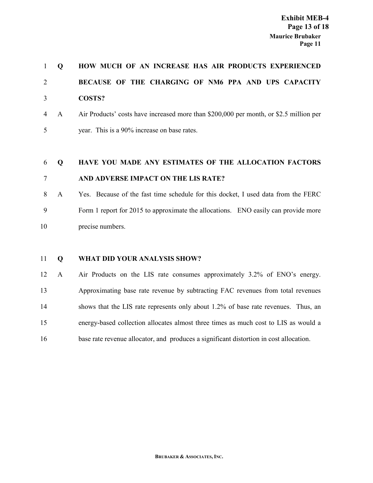## 1 **Q HOW MUCH OF AN INCREASE HAS AIR PRODUCTS EXPERIENCED**  2 **BECAUSE OF THE CHARGING OF NM6 PPA AND UPS CAPACITY**  3 **COSTS?**

4 A Air Products' costs have increased more than \$200,000 per month, or \$2.5 million per 5 year. This is a 90% increase on base rates.

### 6 **Q HAVE YOU MADE ANY ESTIMATES OF THE ALLOCATION FACTORS**  7 **AND ADVERSE IMPACT ON THE LIS RATE?**

8 A Yes. Because of the fast time schedule for this docket, I used data from the FERC 9 Form 1 report for 2015 to approximate the allocations. ENO easily can provide more 10 precise numbers.

### 11 **Q WHAT DID YOUR ANALYSIS SHOW?**

12 A Air Products on the LIS rate consumes approximately 3.2% of ENO's energy. 13 Approximating base rate revenue by subtracting FAC revenues from total revenues 14 shows that the LIS rate represents only about 1.2% of base rate revenues. Thus, an 15 energy-based collection allocates almost three times as much cost to LIS as would a 16 base rate revenue allocator, and produces a significant distortion in cost allocation.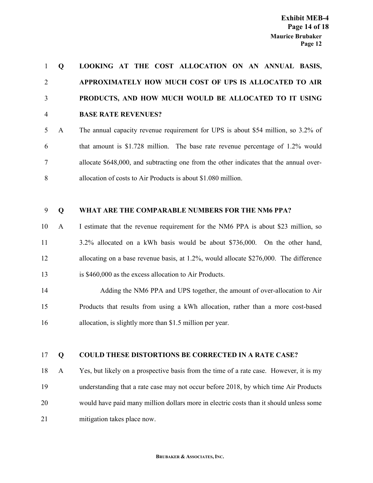|                |                | 1 Q LOOKING AT THE COST ALLOCATION ON AN ANNUAL BASIS,                                                                                 |
|----------------|----------------|----------------------------------------------------------------------------------------------------------------------------------------|
| $\overline{2}$ |                | APPROXIMATELY HOW MUCH COST OF UPS IS ALLOCATED TO AIR                                                                                 |
|                | $\overline{3}$ | PRODUCTS, AND HOW MUCH WOULD BE ALLOCATED TO IT USING                                                                                  |
|                | $\overline{4}$ | <b>BASE RATE REVENUES?</b>                                                                                                             |
|                |                | $\mathcal{L} = \mathcal{L}$ . The contribution of the contribution of $\mathcal{L}$ is the contribution of $\mathcal{L} = \mathcal{L}$ |

5 A The annual capacity revenue requirement for UPS is about \$54 million, so 3.2% of 6 that amount is \$1.728 million. The base rate revenue percentage of 1.2% would 7 allocate \$648,000, and subtracting one from the other indicates that the annual over-8 allocation of costs to Air Products is about \$1.080 million.

### 9 **Q WHAT ARE THE COMPARABLE NUMBERS FOR THE NM6 PPA?**

- 10 A I estimate that the revenue requirement for the NM6 PPA is about \$23 million, so 11 3.2% allocated on a kWh basis would be about \$736,000. On the other hand, 12 allocating on a base revenue basis, at 1.2%, would allocate \$276,000. The difference 13 is \$460,000 as the excess allocation to Air Products.
- 14 Adding the NM6 PPA and UPS together, the amount of over-allocation to Air 15 Products that results from using a kWh allocation, rather than a more cost-based 16 allocation, is slightly more than \$1.5 million per year.

### 17 **Q COULD THESE DISTORTIONS BE CORRECTED IN A RATE CASE?**

18 A Yes, but likely on a prospective basis from the time of a rate case. However, it is my 19 understanding that a rate case may not occur before 2018, by which time Air Products 20 would have paid many million dollars more in electric costs than it should unless some 21 mitigation takes place now.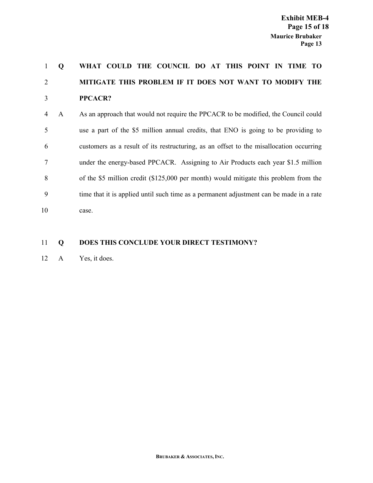## 1 **Q WHAT COULD THE COUNCIL DO AT THIS POINT IN TIME TO**  2 **MITIGATE THIS PROBLEM IF IT DOES NOT WANT TO MODIFY THE** 3 **PPCACR?**

4 A As an approach that would not require the PPCACR to be modified, the Council could 5 use a part of the \$5 million annual credits, that ENO is going to be providing to 6 customers as a result of its restructuring, as an offset to the misallocation occurring 7 under the energy-based PPCACR. Assigning to Air Products each year \$1.5 million 8 of the \$5 million credit (\$125,000 per month) would mitigate this problem from the 9 time that it is applied until such time as a permanent adjustment can be made in a rate 10 case.

### 11 **Q DOES THIS CONCLUDE YOUR DIRECT TESTIMONY?**

12 A Yes, it does.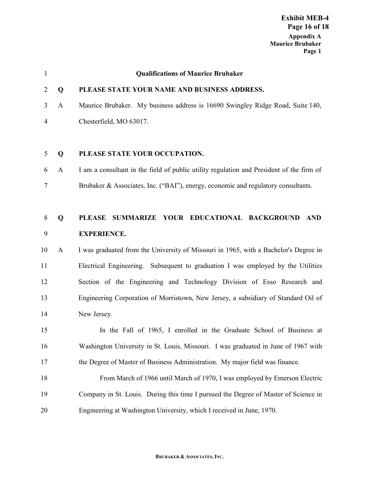**Appendix A Maurice Brubaker Page 1 Exhibit MEB-4 Page 16 of 18**

### 1 **Qualifications of Maurice Brubaker**

### 2 **Q PLEASE STATE YOUR NAME AND BUSINESS ADDRESS.**

- 3 A Maurice Brubaker. My business address is 16690 Swingley Ridge Road, Suite 140,
- 4 Chesterfield, MO 63017.

### 5 **Q PLEASE STATE YOUR OCCUPATION.**

6 A I am a consultant in the field of public utility regulation and President of the firm of 7 Brubaker & Associates, Inc. ("BAI"), energy, economic and regulatory consultants.

### 8 **Q PLEASE SUMMARIZE YOUR EDUCATIONAL BACKGROUND AND**  9 **EXPERIENCE.**

10 A I was graduated from the University of Missouri in 1965, with a Bachelor's Degree in 11 Electrical Engineering. Subsequent to graduation I was employed by the Utilities 12 Section of the Engineering and Technology Division of Esso Research and 13 Engineering Corporation of Morristown, New Jersey, a subsidiary of Standard Oil of 14 New Jersey.

15 In the Fall of 1965, I enrolled in the Graduate School of Business at 16 Washington University in St. Louis, Missouri. I was graduated in June of 1967 with 17 the Degree of Master of Business Administration. My major field was finance.

18 From March of 1966 until March of 1970, I was employed by Emerson Electric 19 Company in St. Louis. During this time I pursued the Degree of Master of Science in 20 Engineering at Washington University, which I received in June, 1970.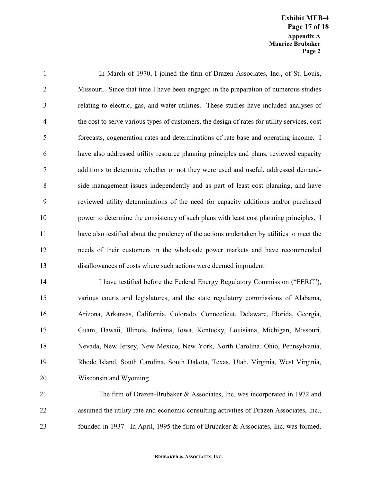**Appendix A Maurice Brubaker Page 2 Exhibit MEB-4 Page 17 of 18**

| $\mathbf{1}$   | In March of 1970, I joined the firm of Drazen Associates, Inc., of St. Louis,                |
|----------------|----------------------------------------------------------------------------------------------|
| $\overline{2}$ | Missouri. Since that time I have been engaged in the preparation of numerous studies         |
| 3              | relating to electric, gas, and water utilities. These studies have included analyses of      |
| $\overline{4}$ | the cost to serve various types of customers, the design of rates for utility services, cost |
| 5              | forecasts, cogeneration rates and determinations of rate base and operating income. I        |
| 6              | have also addressed utility resource planning principles and plans, reviewed capacity        |
| $\overline{7}$ | additions to determine whether or not they were used and useful, addressed demand-           |
| $8\,$          | side management issues independently and as part of least cost planning, and have            |
| 9              | reviewed utility determinations of the need for capacity additions and/or purchased          |
| 10             | power to determine the consistency of such plans with least cost planning principles. I      |
| 11             | have also testified about the prudency of the actions undertaken by utilities to meet the    |
| 12             | needs of their customers in the wholesale power markets and have recommended                 |
| 13             | disallowances of costs where such actions were deemed imprudent.                             |
| 14             | I have testified before the Federal Energy Regulatory Commission ("FERC"),                   |
| 15             | various courts and legislatures, and the state regulatory commissions of Alabama,            |
| 16             | Arizona, Arkansas, California, Colorado, Connecticut, Delaware, Florida, Georgia,            |
| 17             | Guam, Hawaii, Illinois, Indiana, Iowa, Kentucky, Louisiana, Michigan, Missouri,              |
| 18             | Nevada, New Jersey, New Mexico, New York, North Carolina, Ohio, Pennsylvania,                |
| 19             | Rhode Island, South Carolina, South Dakota, Texas, Utah, Virginia, West Virginia,            |
| 20             | Wisconsin and Wyoming.                                                                       |
| 21             | The firm of Drazen-Brubaker & Associates, Inc. was incorporated in 1972 and                  |
| 22             | assumed the utility rate and economic consulting activities of Drazen Associates, Inc.,      |
| 23             | founded in 1937. In April, 1995 the firm of Brubaker & Associates, Inc. was formed.          |